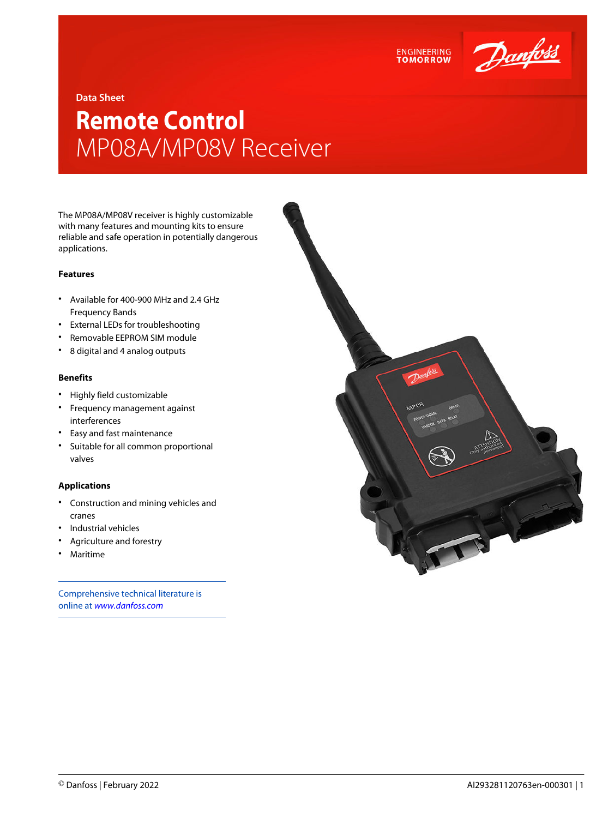

**Data Sheet**

## **Remote Control** MP08A/MP08V Receiver

The MP08A/MP08V receiver is highly customizable with many features and mounting kits to ensure reliable and safe operation in potentially dangerous applications.

## **Features**

- Available for 400-900 MHz and 2.4 GHz Frequency Bands
- External LEDs for troubleshooting
- Removable EEPROM SIM module
- 8 digital and 4 analog outputs

## **Benefits**

- Highly field customizable
- Frequency management against interferences
- Easy and fast maintenance
- Suitable for all common proportional valves

## **Applications**

- Construction and mining vehicles and cranes
- Industrial vehicles
- Agriculture and forestry
- Maritime

Comprehensive technical literature is online at *[www.danfoss.com](https://www.danfoss.com/en/search/?filter=type%3Adocumentation%2Csegment%3Adps)*